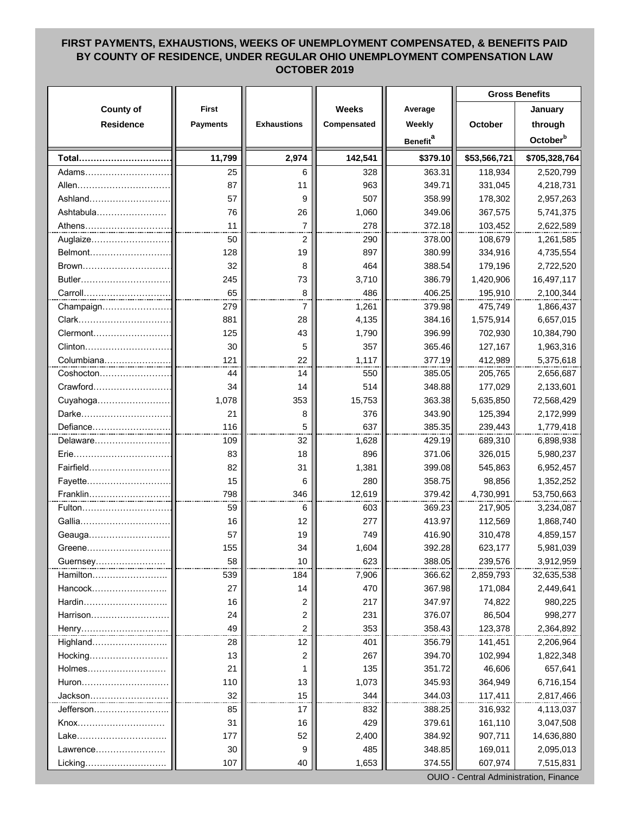## **FIRST PAYMENTS, EXHAUSTIONS, WEEKS OF UNEMPLOYMENT COMPENSATED, & BENEFITS PAID BY COUNTY OF RESIDENCE, UNDER REGULAR OHIO UNEMPLOYMENT COMPENSATION LAW OCTOBER 2019**

|                    |                 |                    |              |                             | <b>Gross Benefits</b> |                      |
|--------------------|-----------------|--------------------|--------------|-----------------------------|-----------------------|----------------------|
| <b>County of</b>   | <b>First</b>    |                    | <b>Weeks</b> | Average                     |                       | January              |
| <b>Residence</b>   | <b>Payments</b> | <b>Exhaustions</b> | Compensated  | Weekly                      | October               | through              |
|                    |                 |                    |              | <b>Benefit</b> <sup>a</sup> |                       | October <sup>b</sup> |
| Total              | 11,799          | 2,974              | 142,541      | \$379.10                    | \$53,566,721          | \$705,328,764        |
| Adams              | 25              | 6                  | 328          | 363.31                      | 118,934               | 2,520,799            |
| Allen…………………………    | 87              | 11                 | 963          | 349.71                      | 331,045               | 4,218,731            |
| Ashland            | 57              | 9                  | 507          | 358.99                      | 178,302               | 2,957,263            |
| Ashtabula          | 76              | 26                 | 1,060        | 349.06                      | 367,575               | 5,741,375            |
|                    | 11              | $\overline{7}$     | 278          | 372.18                      | 103,452               | 2,622,589            |
| Athens<br>Auglaize | 50              | 2                  | 290          | 378.00                      | 108,679               | 1,261,585            |
| Belmont            | 128             | 19                 | 897          | 380.99                      | 334,916               | 4,735,554            |
| Brown              | 32              | 8                  | 464          | 388.54                      | 179,196               | 2,722,520            |
| Butler             | 245             | 73                 | 3,710        | 386.79                      | 1,420,906             | 16,497,117           |
| Carroll            | 65              | 8                  | 486          | 406.25                      | 195,910               | 2,100,344            |
| Champaign          | 279             | 7                  | 1,261        | 379.98                      | 475,749               | 1,866,437            |
| Clark              | 881             | 28                 | 4,135        | 384.16                      | 1,575,914             | 6,657,015            |
| Clermont           | 125             | 43                 | 1,790        | 396.99                      | 702,930               | 10,384,790           |
| Clinton            | 30              | 5                  | 357          | 365.46                      | 127,167               | 1,963,316            |
| Columbiana         | 121             | 22                 | 1,117        | 377.19                      | 412,989               | 5,375,618            |
| Coshocton          | 44              | 14                 | 550          | 385.05                      | 205,765               | 2,656,687            |
| Crawford           | 34              | 14                 | 514          | 348.88                      | 177,029               | 2,133,601            |
| Cuyahoga           | 1,078           | 353                | 15,753       | 363.38                      | 5,635,850             | 72,568,429           |
| Darke              | 21              | 8                  | 376          | 343.90                      | 125,394               | 2,172,999            |
| Defiance           | 116             | 5                  | 637          | 385.35                      | 239,443               | 1,779,418            |
| Delaware           | 109             | 32                 | 1,628        | 429.19                      | 689,310               | 6,898,938            |
| Erie               | 83              | 18                 | 896          | 371.06                      | 326,015               | 5,980,237            |
| Fairfield          | 82              | 31                 | 1,381        | 399.08                      | 545,863               | 6,952,457            |
| Fayette            | 15              | 6                  | 280          | 358.75                      | 98,856                | 1,352,252            |
| Franklin           | 798             | 346                | 12,619       | 379.42                      | 4,730,991             | 53,750,663           |
| Fulton             | 59              | 6                  | 603          | 369.23                      | 217,905               | 3,234,087            |
| Gallia             | 16              | 12                 | 277          | 413.97                      | 112,569               | 1,868,740            |
| Geauga             | 57              | 19                 | 749          | 416.90                      | 310,478               | 4,859,157            |
| Greene             | 155             | 34                 | 1,604        | 392.281                     | 623,177               | 5,981,039            |
| Guernsey           | 58              | 10                 | 623          | 388.05                      | 239,576               | 3,912,959            |
| Hamilton           | 539             | 184                | 7,906        | 366.62                      | 2,859,793             | 32,635,538           |
| Hancock            | 27              | 14                 | 470          | 367.98                      | 171,084               | 2,449,641            |
| Hardin             | 16              | 2                  | 217          | 347.97                      | 74,822                | 980,225              |
| Harrison           | 24              | 2                  | 231          | 376.07                      | 86,504                | 998,277              |
| Henry              | 49              | 2                  | 353          | 358.43                      | 123,378               | 2,364,892            |
| Highland           | 28              | 12                 | 401          | 356.79                      | 141,451               | 2,206,964            |
| Hocking            | 13              | 2                  | 267          | 394.70                      | 102,994               | 1,822,348            |
| Holmes             | 21              | 1                  | 135          | 351.72                      | 46,606                | 657,641              |
| Huron              | 110             | 13                 | 1,073        | 345.93                      | 364,949               | 6,716,154            |
| Jackson            | 32              | 15                 | 344          | 344.03                      | 117,411               | 2,817,466            |
| Jefferson          | 85              | 17                 | 832          | 388.25                      | 316,932               | 4,113,037            |
| Knox               | 31              | 16                 | 429          | 379.61                      | 161,110               | 3,047,508            |
| Lake               | 177             | 52                 | 2,400        | 384.92                      | 907,711               | 14,636,880           |
| Lawrence           | 30              | 9                  | 485          | 348.85                      | 169,011               | 2,095,013            |
| Licking            | 107             | 40                 | 1,653        | 374.55                      | 607,974               | 7,515,831            |
|                    |                 |                    |              |                             |                       |                      |

OUIO - Central Administration, Finance